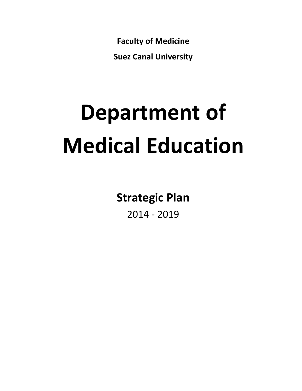**Faculty of Medicine** 

**Suez Canal University**

# **Department of Medical Education**

**Strategic Plan**

2014 - 2019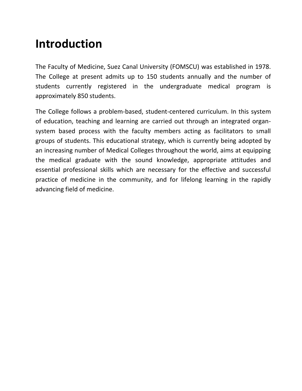# **Introduction**

The Faculty of Medicine, Suez Canal University (FOMSCU) was established in 1978. The College at present admits up to 150 students annually and the number of students currently registered in the undergraduate medical program is approximately 850 students.

The College follows a problem-based, student-centered curriculum. In this system of education, teaching and learning are carried out through an integrated organsystem based process with the faculty members acting as facilitators to small groups of students. This educational strategy, which is currently being adopted by an increasing number of Medical Colleges throughout the world, aims at equipping the medical graduate with the sound knowledge, appropriate attitudes and essential professional skills which are necessary for the effective and successful practice of medicine in the community, and for lifelong learning in the rapidly advancing field of medicine.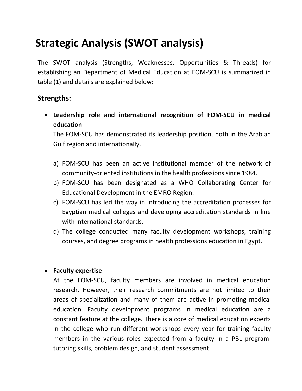## **Strategic Analysis (SWOT analysis)**

The SWOT analysis (Strengths, Weaknesses, Opportunities & Threads) for establishing an Department of Medical Education at FOM-SCU is summarized in table (1) and details are explained below:

#### **Strengths:**

 **Leadership role and international recognition of FOM-SCU in medical education**

The FOM-SCU has demonstrated its leadership position, both in the Arabian Gulf region and internationally.

- a) FOM-SCU has been an active institutional member of the network of community-oriented institutions in the health professions since 1984.
- b) FOM-SCU has been designated as a WHO Collaborating Center for Educational Development in the EMRO Region.
- c) FOM-SCU has led the way in introducing the accreditation processes for Egyptian medical colleges and developing accreditation standards in line with international standards.
- d) The college conducted many faculty development workshops, training courses, and degree programs in health professions education in Egypt.

#### **Faculty expertise**

At the FOM-SCU, faculty members are involved in medical education research. However, their research commitments are not limited to their areas of specialization and many of them are active in promoting medical education. Faculty development programs in medical education are a constant feature at the college. There is a core of medical education experts in the college who run different workshops every year for training faculty members in the various roles expected from a faculty in a PBL program: tutoring skills, problem design, and student assessment.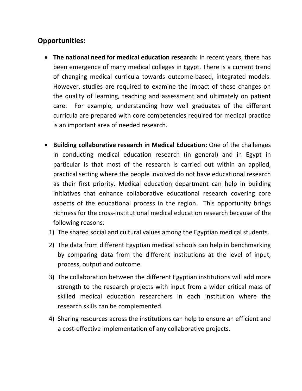### **Opportunities:**

- **The national need for medical education research:** In recent years, there has been emergence of many medical colleges in Egypt. There is a current trend of changing medical curricula towards outcome-based, integrated models. However, studies are required to examine the impact of these changes on the quality of learning, teaching and assessment and ultimately on patient care. For example, understanding how well graduates of the different curricula are prepared with core competencies required for medical practice is an important area of needed research.
- **Building collaborative research in Medical Education:** One of the challenges in conducting medical education research (in general) and in Egypt in particular is that most of the research is carried out within an applied, practical setting where the people involved do not have educational research as their first priority. Medical education department can help in building initiatives that enhance collaborative educational research covering core aspects of the educational process in the region. This opportunity brings richness for the cross-institutional medical education research because of the following reasons:
	- 1) The shared social and cultural values among the Egyptian medical students.
	- 2) The data from different Egyptian medical schools can help in benchmarking by comparing data from the different institutions at the level of input, process, output and outcome.
	- 3) The collaboration between the different Egyptian institutions will add more strength to the research projects with input from a wider critical mass of skilled medical education researchers in each institution where the research skills can be complemented.
	- 4) Sharing resources across the institutions can help to ensure an efficient and a cost-effective implementation of any collaborative projects.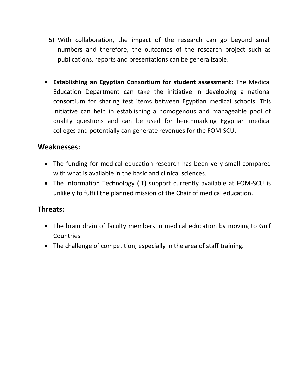- 5) With collaboration, the impact of the research can go beyond small numbers and therefore, the outcomes of the research project such as publications, reports and presentations can be generalizable.
- **Establishing an Egyptian Consortium for student assessment:** The Medical Education Department can take the initiative in developing a national consortium for sharing test items between Egyptian medical schools. This initiative can help in establishing a homogenous and manageable pool of quality questions and can be used for benchmarking Egyptian medical colleges and potentially can generate revenues for the FOM-SCU.

#### **Weaknesses:**

- The funding for medical education research has been very small compared with what is available in the basic and clinical sciences.
- The Information Technology (IT) support currently available at FOM-SCU is unlikely to fulfill the planned mission of the Chair of medical education.

#### **Threats:**

- The brain drain of faculty members in medical education by moving to Gulf Countries.
- The challenge of competition, especially in the area of staff training.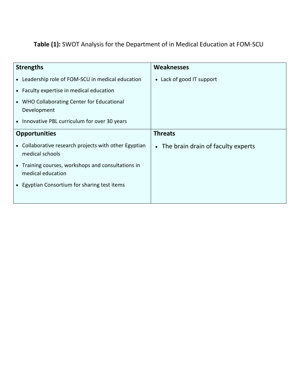## **Table (1):** SWOT Analysis for the Department of in Medical Education at FOM-SCU

| <b>Strengths</b>                                                         | <b>Weaknesses</b>                               |
|--------------------------------------------------------------------------|-------------------------------------------------|
| • Leadership role of FOM-SCU in medical education                        | • Lack of good IT support                       |
| • Faculty expertise in medical education                                 |                                                 |
| • WHO Collaborating Center for Educational<br>Development                |                                                 |
| • Innovative PBL curriculum for over 30 years                            |                                                 |
| <b>Opportunities</b>                                                     | <b>Threats</b>                                  |
| • Collaborative research projects with other Egyptian<br>medical schools | The brain drain of faculty experts<br>$\bullet$ |
| • Training courses, workshops and consultations in<br>medical education  |                                                 |
| • Egyptian Consortium for sharing test items                             |                                                 |
|                                                                          |                                                 |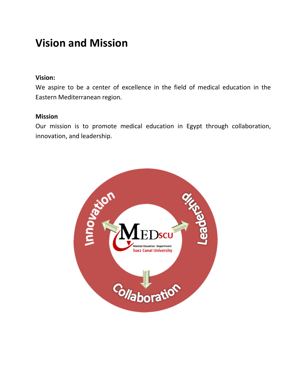## **Vision and Mission**

#### **Vision:**

We aspire to be a center of excellence in the field of medical education in the Eastern Mediterranean region.

#### **Mission**

Our mission is to promote medical education in Egypt through collaboration, innovation, and leadership.

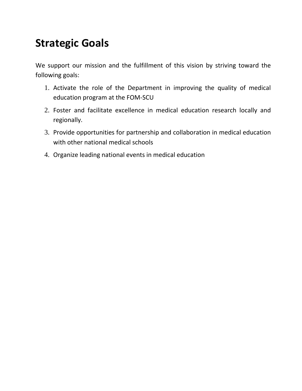## **Strategic Goals**

We support our mission and the fulfillment of this vision by striving toward the following goals:

- 1. Activate the role of the Department in improving the quality of medical education program at the FOM-SCU
- 2. Foster and facilitate excellence in medical education research locally and regionally.
- 3. Provide opportunities for partnership and collaboration in medical education with other national medical schools
- 4. Organize leading national events in medical education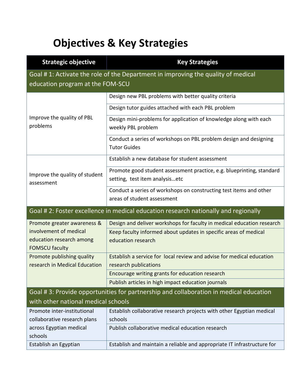## **Objectives & Key Strategies**

| <b>Strategic objective</b>                                                                                           | <b>Key Strategies</b>                                                                                   |  |
|----------------------------------------------------------------------------------------------------------------------|---------------------------------------------------------------------------------------------------------|--|
| Goal #1: Activate the role of the Department in improving the quality of medical<br>education program at the FOM-SCU |                                                                                                         |  |
| Improve the quality of PBL<br>problems                                                                               | Design new PBL problems with better quality criteria                                                    |  |
|                                                                                                                      | Design tutor guides attached with each PBL problem                                                      |  |
|                                                                                                                      | Design mini-problems for application of knowledge along with each<br>weekly PBL problem                 |  |
|                                                                                                                      | Conduct a series of workshops on PBL problem design and designing<br><b>Tutor Guides</b>                |  |
| Improve the quality of student<br>assessment                                                                         | Establish a new database for student assessment                                                         |  |
|                                                                                                                      | Promote good student assessment practice, e.g. blueprinting, standard<br>setting, test item analysisetc |  |
|                                                                                                                      | Conduct a series of workshops on constructing test items and other                                      |  |
|                                                                                                                      | areas of student assessment                                                                             |  |
| Goal #2: Foster excellence in medical education research nationally and regionally                                   |                                                                                                         |  |
| Promote greater awareness &                                                                                          | Design and deliver workshops for faculty in medical education research                                  |  |
| involvement of medical<br>education research among                                                                   | Keep faculty informed about updates in specific areas of medical<br>education research                  |  |
| <b>FOMSCU faculty</b><br>Promote publishing quality                                                                  | Establish a service for local review and advise for medical education                                   |  |
| research in Medical Education                                                                                        | research publications                                                                                   |  |
|                                                                                                                      | Encourage writing grants for education research                                                         |  |
|                                                                                                                      | Publish articles in high impact education journals                                                      |  |
| Goal #3: Provide opportunities for partnership and collaboration in medical education                                |                                                                                                         |  |
| with other national medical schools                                                                                  |                                                                                                         |  |
| Promote inter-institutional                                                                                          | Establish collaborative research projects with other Egyptian medical                                   |  |
| collaborative research plans                                                                                         | schools                                                                                                 |  |
| across Egyptian medical<br>schools                                                                                   | Publish collaborative medical education research                                                        |  |
| Establish an Egyptian                                                                                                | Establish and maintain a reliable and appropriate IT infrastructure for                                 |  |